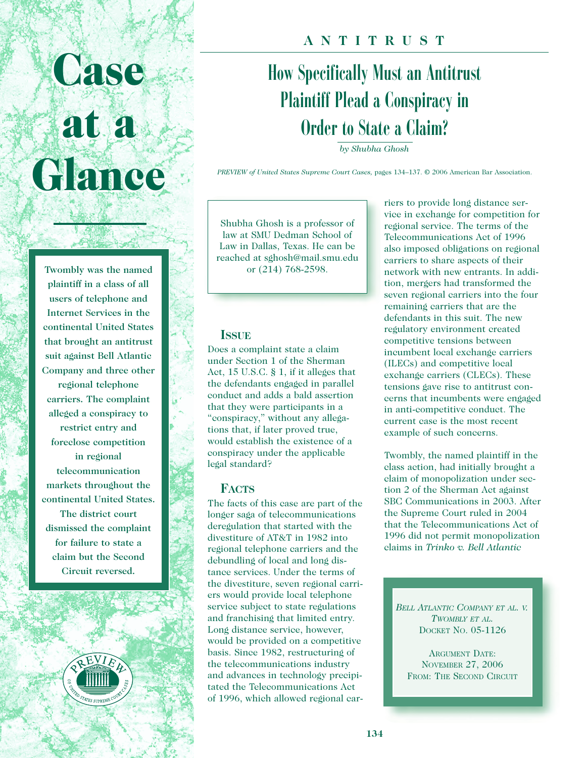# **Case Case at a at a Glance Glance**

Twombly was the named plaintiff in a class of all users of telephone and Internet Services in the continental United States that brought an antitrust suit against Bell Atlantic Company and three other

regional telephone carriers. The complaint alleged a conspiracy to restrict entry and foreclose competition in regional telecommunication markets throughout the continental United States. The district court dismissed the complaint for failure to state a claim but the Second Circuit reversed.



## **ANTITRUST**

# How Specifically Must an Antitrust Plaintiff Plead a Conspiracy in Order to State a Claim?

*by Shubha Ghosh*

*PREVIEW of United States Supreme Court Cases,* pages 134–137. © 2006 American Bar Association.

Shubha Ghosh is a professor of law at SMU Dedman School of Law in Dallas, Texas. He can be reached at sghosh@mail.smu.edu or (214) 768-2598.

#### **ISSUE**

Does a complaint state a claim under Section 1 of the Sherman Act, 15 U.S.C. § 1, if it alleges that the defendants engaged in parallel conduct and adds a bald assertion that they were participants in a "conspiracy," without any allegations that, if later proved true, would establish the existence of a conspiracy under the applicable legal standard?

#### **FACTS**

The facts of this case are part of the longer saga of telecommunications deregulation that started with the divestiture of AT&T in 1982 into regional telephone carriers and the debundling of local and long distance services. Under the terms of the divestiture, seven regional carriers would provide local telephone service subject to state regulations and franchising that limited entry. Long distance service, however, would be provided on a competitive basis. Since 1982, restructuring of the telecommunications industry and advances in technology precipitated the Telecommunications Act of 1996, which allowed regional carriers to provide long distance service in exchange for competition for regional service. The terms of the Telecommunications Act of 1996 also imposed obligations on regional carriers to share aspects of their network with new entrants. In addition, mergers had transformed the seven regional carriers into the four remaining carriers that are the defendants in this suit. The new regulatory environment created competitive tensions between incumbent local exchange carriers (ILECs) and competitive local exchange carriers (CLECs). These tensions gave rise to antitrust concerns that incumbents were engaged in anti-competitive conduct. The current case is the most recent example of such concerns.

Twombly, the named plaintiff in the class action, had initially brought a claim of monopolization under section 2 of the Sherman Act against SBC Communications in 2003. After the Supreme Court ruled in 2004 that the Telecommunications Act of 1996 did not permit monopolization claims in *Trinko v. Bell Atlantic*

*BELL ATLANTIC COMPANY ET AL. V. TWOMBLY ET AL.* DOCKET NO. 05-1126

ARGUMENT DATE: NOVEMBER 27, 2006 FROM: THE SECOND CIRCUIT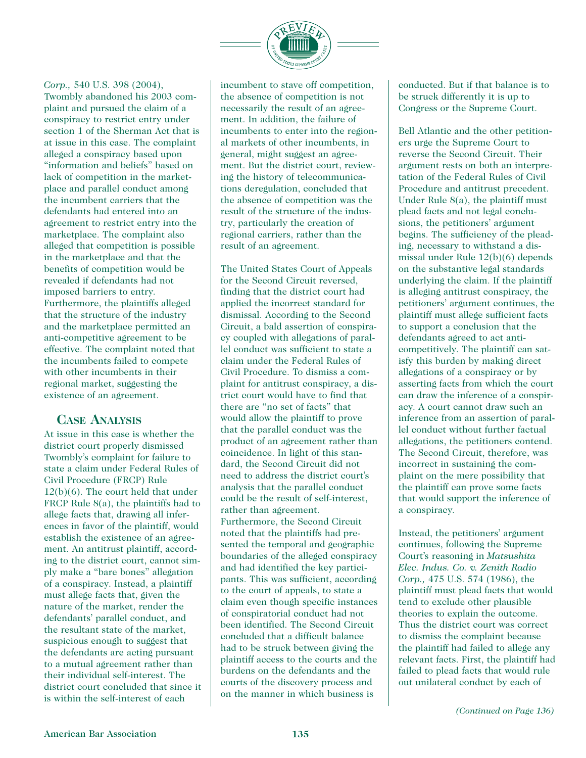

#### *Corp.,* 540 U.S. 398 (2004),

Twombly abandoned his 2003 complaint and pursued the claim of a conspiracy to restrict entry under section 1 of the Sherman Act that is at issue in this case. The complaint alleged a conspiracy based upon "information and beliefs" based on lack of competition in the marketplace and parallel conduct among the incumbent carriers that the defendants had entered into an agreement to restrict entry into the marketplace. The complaint also alleged that competition is possible in the marketplace and that the benefits of competition would be revealed if defendants had not imposed barriers to entry. Furthermore, the plaintiffs alleged that the structure of the industry and the marketplace permitted an anti-competitive agreement to be effective. The complaint noted that the incumbents failed to compete with other incumbents in their regional market, suggesting the existence of an agreement.

#### **CASE ANALYSIS**

At issue in this case is whether the district court properly dismissed Twombly's complaint for failure to state a claim under Federal Rules of Civil Procedure (FRCP) Rule 12(b)(6). The court held that under FRCP Rule 8(a), the plaintiffs had to allege facts that, drawing all inferences in favor of the plaintiff, would establish the existence of an agreement. An antitrust plaintiff, according to the district court, cannot simply make a "bare bones" allegation of a conspiracy. Instead, a plaintiff must allege facts that, given the nature of the market, render the defendants' parallel conduct, and the resultant state of the market, suspicious enough to suggest that the defendants are acting pursuant to a mutual agreement rather than their individual self-interest. The district court concluded that since it is within the self-interest of each

incumbent to stave off competition, the absence of competition is not necessarily the result of an agreement. In addition, the failure of incumbents to enter into the regional markets of other incumbents, in general, might suggest an agreement. But the district court, reviewing the history of telecommunications deregulation, concluded that the absence of competition was the result of the structure of the industry, particularly the creation of regional carriers, rather than the result of an agreement.

The United States Court of Appeals for the Second Circuit reversed, finding that the district court had applied the incorrect standard for dismissal. According to the Second Circuit, a bald assertion of conspiracy coupled with allegations of parallel conduct was sufficient to state a claim under the Federal Rules of Civil Procedure. To dismiss a complaint for antitrust conspiracy, a district court would have to find that there are "no set of facts" that would allow the plaintiff to prove that the parallel conduct was the product of an agreement rather than coincidence. In light of this standard, the Second Circuit did not need to address the district court's analysis that the parallel conduct could be the result of self-interest, rather than agreement. Furthermore, the Second Circuit noted that the plaintiffs had presented the temporal and geographic boundaries of the alleged conspiracy and had identified the key participants. This was sufficient, according to the court of appeals, to state a claim even though specific instances of conspiratorial conduct had not been identified. The Second Circuit concluded that a difficult balance had to be struck between giving the plaintiff access to the courts and the burdens on the defendants and the courts of the discovery process and on the manner in which business is

conducted. But if that balance is to be struck differently it is up to Congress or the Supreme Court.

Bell Atlantic and the other petitioners urge the Supreme Court to reverse the Second Circuit. Their argument rests on both an interpretation of the Federal Rules of Civil Procedure and antitrust precedent. Under Rule 8(a), the plaintiff must plead facts and not legal conclusions, the petitioners' argument begins. The sufficiency of the pleading, necessary to withstand a dismissal under Rule 12(b)(6) depends on the substantive legal standards underlying the claim. If the plaintiff is alleging antitrust conspiracy, the petitioners' argument continues, the plaintiff must allege sufficient facts to support a conclusion that the defendants agreed to act anticompetitively. The plaintiff can satisfy this burden by making direct allegations of a conspiracy or by asserting facts from which the court can draw the inference of a conspiracy. A court cannot draw such an inference from an assertion of parallel conduct without further factual allegations, the petitioners contend. The Second Circuit, therefore, was incorrect in sustaining the complaint on the mere possibility that the plaintiff can prove some facts that would support the inference of a conspiracy.

Instead, the petitioners' argument continues, following the Supreme Court's reasoning in *Matsushita Elec. Indus. Co. v. Zenith Radio Corp.,* 475 U.S. 574 (1986), the plaintiff must plead facts that would tend to exclude other plausible theories to explain the outcome. Thus the district court was correct to dismiss the complaint because the plaintiff had failed to allege any relevant facts. First, the plaintiff had failed to plead facts that would rule out unilateral conduct by each of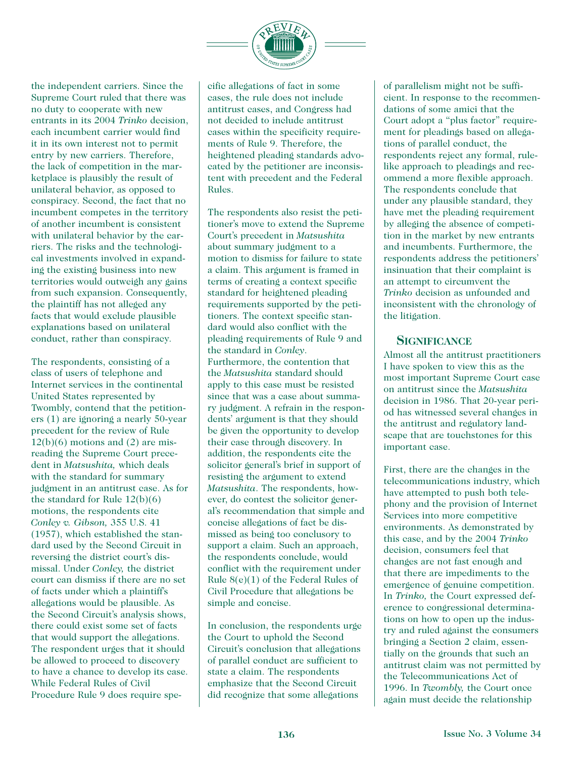

the independent carriers. Since the Supreme Court ruled that there was no duty to cooperate with new entrants in its 2004 *Trinko* decision, each incumbent carrier would find it in its own interest not to permit entry by new carriers. Therefore, the lack of competition in the marketplace is plausibly the result of unilateral behavior, as opposed to conspiracy. Second, the fact that no incumbent competes in the territory of another incumbent is consistent with unilateral behavior by the carriers. The risks and the technological investments involved in expanding the existing business into new territories would outweigh any gains from such expansion. Consequently, the plaintiff has not alleged any facts that would exclude plausible explanations based on unilateral conduct, rather than conspiracy.

The respondents, consisting of a class of users of telephone and Internet services in the continental United States represented by Twombly, contend that the petitioners (1) are ignoring a nearly 50-year precedent for the review of Rule  $12(b)(6)$  motions and  $(2)$  are misreading the Supreme Court precedent in *Matsushita,* which deals with the standard for summary judgment in an antitrust case. As for the standard for Rule 12(b)(6) motions, the respondents cite *Conley v. Gibson,* 355 U.S. 41 (1957), which established the standard used by the Second Circuit in reversing the district court's dismissal. Under *Conley,* the district court can dismiss if there are no set of facts under which a plaintiff's allegations would be plausible. As the Second Circuit's analysis shows, there could exist some set of facts that would support the allegations. The respondent urges that it should be allowed to proceed to discovery to have a chance to develop its case. While Federal Rules of Civil Procedure Rule 9 does require specific allegations of fact in some cases, the rule does not include antitrust cases, and Congress had not decided to include antitrust cases within the specificity requirements of Rule 9. Therefore, the heightened pleading standards advocated by the petitioner are inconsistent with precedent and the Federal Rules.

The respondents also resist the petitioner's move to extend the Supreme Court's precedent in *Matsushita* about summary judgment to a motion to dismiss for failure to state a claim. This argument is framed in terms of creating a context specific standard for heightened pleading requirements supported by the petitioners. The context specific standard would also conflict with the pleading requirements of Rule 9 and the standard in *Conley*. Furthermore, the contention that the *Matsushita* standard should apply to this case must be resisted since that was a case about summary judgment. A refrain in the respondents' argument is that they should be given the opportunity to develop their case through discovery. In addition, the respondents cite the solicitor general's brief in support of resisting the argument to extend *Matsushita*. The respondents, however, do contest the solicitor general's recommendation that simple and concise allegations of fact be dismissed as being too conclusory to support a claim. Such an approach, the respondents conclude, would conflict with the requirement under Rule 8(e)(1) of the Federal Rules of Civil Procedure that allegations be simple and concise.

In conclusion, the respondents urge the Court to uphold the Second Circuit's conclusion that allegations of parallel conduct are sufficient to state a claim. The respondents emphasize that the Second Circuit did recognize that some allegations

of parallelism might not be sufficient. In response to the recommendations of some amici that the Court adopt a "plus factor" requirement for pleadings based on allegations of parallel conduct, the respondents reject any formal, rulelike approach to pleadings and recommend a more flexible approach. The respondents conclude that under any plausible standard, they have met the pleading requirement by alleging the absence of competition in the market by new entrants and incumbents. Furthermore, the respondents address the petitioners' insinuation that their complaint is an attempt to circumvent the *Trinko* decision as unfounded and inconsistent with the chronology of the litigation.

#### **SIGNIFICANCE**

Almost all the antitrust practitioners I have spoken to view this as the most important Supreme Court case on antitrust since the *Matsushita* decision in 1986. That 20-year period has witnessed several changes in the antitrust and regulatory landscape that are touchstones for this important case.

First, there are the changes in the telecommunications industry, which have attempted to push both telephony and the provision of Internet Services into more competitive environments. As demonstrated by this case, and by the 2004 *Trinko* decision, consumers feel that changes are not fast enough and that there are impediments to the emergence of genuine competition. In *Trinko,* the Court expressed deference to congressional determinations on how to open up the industry and ruled against the consumers bringing a Section 2 claim, essentially on the grounds that such an antitrust claim was not permitted by the Telecommunications Act of 1996. In *Twombly,* the Court once again must decide the relationship